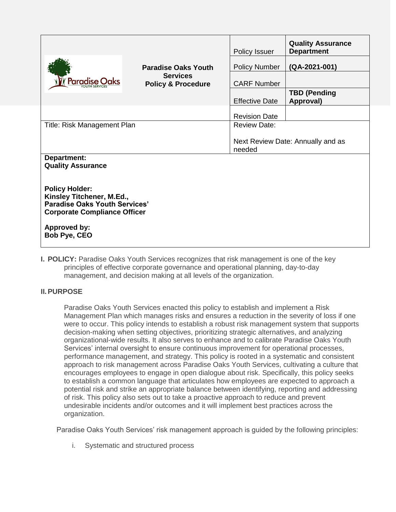|                                                                                                                                                                          |                                                  | Policy Issuer                               | <b>Quality Assurance</b><br><b>Department</b> |  |  |
|--------------------------------------------------------------------------------------------------------------------------------------------------------------------------|--------------------------------------------------|---------------------------------------------|-----------------------------------------------|--|--|
|                                                                                                                                                                          | <b>Paradise Oaks Youth</b>                       | <b>Policy Number</b>                        | (QA-2021-001)                                 |  |  |
| <b>Paradise Oaks</b>                                                                                                                                                     | <b>Services</b><br><b>Policy &amp; Procedure</b> | <b>CARF Number</b>                          |                                               |  |  |
|                                                                                                                                                                          |                                                  | <b>Effective Date</b>                       | <b>TBD (Pending</b><br>Approval)              |  |  |
|                                                                                                                                                                          |                                                  | <b>Revision Date</b>                        |                                               |  |  |
| Title: Risk Management Plan                                                                                                                                              |                                                  | <b>Review Date:</b>                         |                                               |  |  |
|                                                                                                                                                                          |                                                  | Next Review Date: Annually and as<br>needed |                                               |  |  |
| Department:<br><b>Quality Assurance</b>                                                                                                                                  |                                                  |                                             |                                               |  |  |
| <b>Policy Holder:</b><br>Kinsley Titchener, M.Ed.,<br><b>Paradise Oaks Youth Services'</b><br><b>Corporate Compliance Officer</b><br><b>Approved by:</b><br>Bob Pye, CEO |                                                  |                                             |                                               |  |  |

**I. POLICY:** Paradise Oaks Youth Services recognizes that risk management is one of the key principles of effective corporate governance and operational planning, day-to-day management, and decision making at all levels of the organization.

# **II.PURPOSE**

Paradise Oaks Youth Services enacted this policy to establish and implement a Risk Management Plan which manages risks and ensures a reduction in the severity of loss if one were to occur. This policy intends to establish a robust risk management system that supports decision-making when setting objectives, prioritizing strategic alternatives, and analyzing organizational-wide results. It also serves to enhance and to calibrate Paradise Oaks Youth Services' internal oversight to ensure continuous improvement for operational processes, performance management, and strategy. This policy is rooted in a systematic and consistent approach to risk management across Paradise Oaks Youth Services, cultivating a culture that encourages employees to engage in open dialogue about risk. Specifically, this policy seeks to establish a common language that articulates how employees are expected to approach a potential risk and strike an appropriate balance between identifying, reporting and addressing of risk. This policy also sets out to take a proactive approach to reduce and prevent undesirable incidents and/or outcomes and it will implement best practices across the organization.

Paradise Oaks Youth Services' risk management approach is guided by the following principles:

i. Systematic and structured process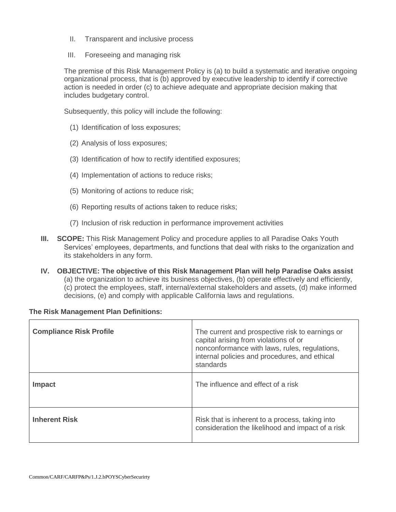- II. Transparent and inclusive process
- III. Foreseeing and managing risk

The premise of this Risk Management Policy is (a) to build a systematic and iterative ongoing organizational process, that is (b) approved by executive leadership to identify if corrective action is needed in order (c) to achieve adequate and appropriate decision making that includes budgetary control.

Subsequently, this policy will include the following:

- (1) Identification of loss exposures;
- (2) Analysis of loss exposures;
- (3) Identification of how to rectify identified exposures;
- (4) Implementation of actions to reduce risks;
- (5) Monitoring of actions to reduce risk;
- (6) Reporting results of actions taken to reduce risks;
- (7) Inclusion of risk reduction in performance improvement activities
- **III. SCOPE:** This Risk Management Policy and procedure applies to all Paradise Oaks Youth Services' employees, departments, and functions that deal with risks to the organization and its stakeholders in any form.
- **IV. OBJECTIVE: The objective of this Risk Management Plan will help Paradise Oaks assist** (a) the organization to achieve its business objectives, (b) operate effectively and efficiently, (c) protect the employees, staff, internal/external stakeholders and assets, (d) make informed decisions, (e) and comply with applicable California laws and regulations.

### **The Risk Management Plan Definitions:**

| <b>Compliance Risk Profile</b> | The current and prospective risk to earnings or<br>capital arising from violations of or<br>nonconformance with laws, rules, regulations,<br>internal policies and procedures, and ethical<br>standards |
|--------------------------------|---------------------------------------------------------------------------------------------------------------------------------------------------------------------------------------------------------|
| Impact                         | The influence and effect of a risk                                                                                                                                                                      |
| <b>Inherent Risk</b>           | Risk that is inherent to a process, taking into<br>consideration the likelihood and impact of a risk                                                                                                    |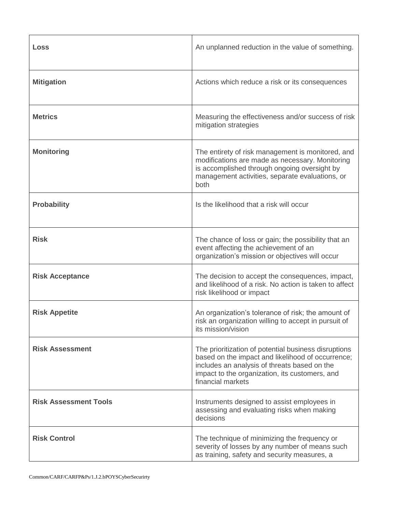| <b>Loss</b>                  | An unplanned reduction in the value of something.                                                                                                                                                                                |  |
|------------------------------|----------------------------------------------------------------------------------------------------------------------------------------------------------------------------------------------------------------------------------|--|
| <b>Mitigation</b>            | Actions which reduce a risk or its consequences                                                                                                                                                                                  |  |
| <b>Metrics</b>               | Measuring the effectiveness and/or success of risk<br>mitigation strategies                                                                                                                                                      |  |
| <b>Monitoring</b>            | The entirety of risk management is monitored, and<br>modifications are made as necessary. Monitoring<br>is accomplished through ongoing oversight by<br>management activities, separate evaluations, or<br>both                  |  |
| <b>Probability</b>           | Is the likelihood that a risk will occur                                                                                                                                                                                         |  |
| <b>Risk</b>                  | The chance of loss or gain; the possibility that an<br>event affecting the achievement of an<br>organization's mission or objectives will occur                                                                                  |  |
| <b>Risk Acceptance</b>       | The decision to accept the consequences, impact,<br>and likelihood of a risk. No action is taken to affect<br>risk likelihood or impact                                                                                          |  |
| <b>Risk Appetite</b>         | An organization's tolerance of risk; the amount of<br>risk an organization willing to accept in pursuit of<br>its mission/vision                                                                                                 |  |
| <b>Risk Assessment</b>       | The prioritization of potential business disruptions<br>based on the impact and likelihood of occurrence;<br>includes an analysis of threats based on the<br>impact to the organization, its customers, and<br>financial markets |  |
| <b>Risk Assessment Tools</b> | Instruments designed to assist employees in<br>assessing and evaluating risks when making<br>decisions                                                                                                                           |  |
| <b>Risk Control</b>          | The technique of minimizing the frequency or<br>severity of losses by any number of means such<br>as training, safety and security measures, a                                                                                   |  |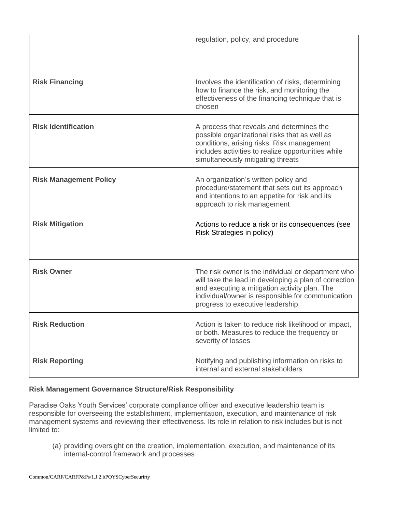|                               | regulation, policy, and procedure                                                                                                                                                                                                                     |
|-------------------------------|-------------------------------------------------------------------------------------------------------------------------------------------------------------------------------------------------------------------------------------------------------|
| <b>Risk Financing</b>         | Involves the identification of risks, determining<br>how to finance the risk, and monitoring the<br>effectiveness of the financing technique that is<br>chosen                                                                                        |
| <b>Risk Identification</b>    | A process that reveals and determines the<br>possible organizational risks that as well as<br>conditions, arising risks. Risk management<br>includes activities to realize opportunities while<br>simultaneously mitigating threats                   |
| <b>Risk Management Policy</b> | An organization's written policy and<br>procedure/statement that sets out its approach<br>and intentions to an appetite for risk and its<br>approach to risk management                                                                               |
| <b>Risk Mitigation</b>        | Actions to reduce a risk or its consequences (see<br>Risk Strategies in policy)                                                                                                                                                                       |
| <b>Risk Owner</b>             | The risk owner is the individual or department who<br>will take the lead in developing a plan of correction<br>and executing a mitigation activity plan. The<br>individual/owner is responsible for communication<br>progress to executive leadership |
| <b>Risk Reduction</b>         | Action is taken to reduce risk likelihood or impact,<br>or both. Measures to reduce the frequency or<br>severity of losses                                                                                                                            |
| <b>Risk Reporting</b>         | Notifying and publishing information on risks to<br>internal and external stakeholders                                                                                                                                                                |

# **Risk Management Governance Structure/Risk Responsibility**

Paradise Oaks Youth Services' corporate compliance officer and executive leadership team is responsible for overseeing the establishment, implementation, execution, and maintenance of risk management systems and reviewing their effectiveness. Its role in relation to risk includes but is not limited to:

(a) providing oversight on the creation, implementation, execution, and maintenance of its internal-control framework and processes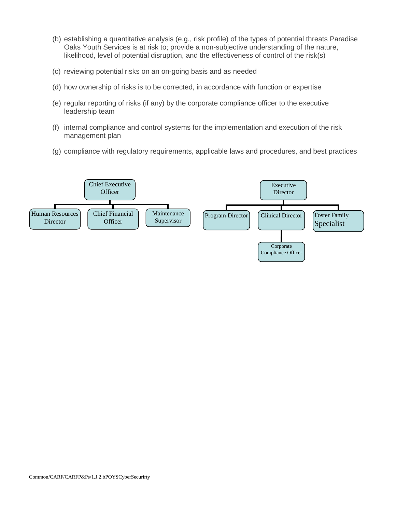- (b) establishing a quantitative analysis (e.g., risk profile) of the types of potential threats Paradise Oaks Youth Services is at risk to; provide a non-subjective understanding of the nature, likelihood, level of potential disruption, and the effectiveness of control of the risk(s)
- (c) reviewing potential risks on an on-going basis and as needed
- (d) how ownership of risks is to be corrected, in accordance with function or expertise
- (e) regular reporting of risks (if any) by the corporate compliance officer to the executive leadership team
- (f) internal compliance and control systems for the implementation and execution of the risk management plan
- (g) compliance with regulatory requirements, applicable laws and procedures, and best practices

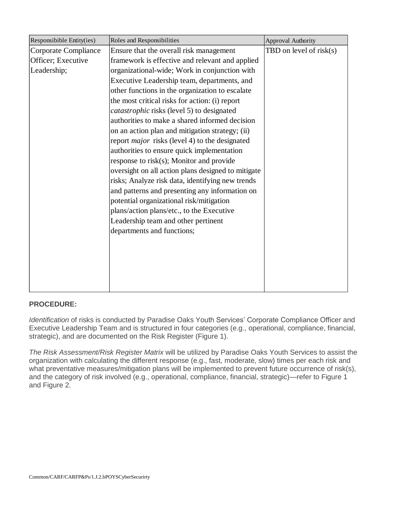| Responsibible Entity(ies) | Roles and Responsibilities                            | <b>Approval Authority</b> |
|---------------------------|-------------------------------------------------------|---------------------------|
| Corporate Compliance      | Ensure that the overall risk management               | TBD on level of risk(s)   |
| Officer; Executive        | framework is effective and relevant and applied       |                           |
| Leadership;               | organizational-wide; Work in conjunction with         |                           |
|                           | Executive Leadership team, departments, and           |                           |
|                           | other functions in the organization to escalate       |                           |
|                           | the most critical risks for action: (i) report        |                           |
|                           | <i>catastrophic</i> risks (level 5) to designated     |                           |
|                           | authorities to make a shared informed decision        |                           |
|                           | on an action plan and mitigation strategy; (ii)       |                           |
|                           | report <i>major</i> risks (level 4) to the designated |                           |
|                           | authorities to ensure quick implementation            |                           |
|                           | response to risk(s); Monitor and provide              |                           |
|                           | oversight on all action plans designed to mitigate    |                           |
|                           | risks; Analyze risk data, identifying new trends      |                           |
|                           | and patterns and presenting any information on        |                           |
|                           | potential organizational risk/mitigation              |                           |
|                           | plans/action plans/etc., to the Executive             |                           |
|                           | Leadership team and other pertinent                   |                           |
|                           | departments and functions;                            |                           |
|                           |                                                       |                           |
|                           |                                                       |                           |
|                           |                                                       |                           |
|                           |                                                       |                           |
|                           |                                                       |                           |
|                           |                                                       |                           |

# **PROCEDURE:**

*Identification* of risks is conducted by Paradise Oaks Youth Services' Corporate Compliance Officer and Executive Leadership Team and is structured in four categories (e.g., operational, compliance, financial, strategic), and are documented on the Risk Register (Figure 1).

*The Risk Assessment/Risk Register Matrix* will be utilized by Paradise Oaks Youth Services to assist the organization with calculating the different response (e.g., fast, moderate, slow) times per each risk and what preventative measures/mitigation plans will be implemented to prevent future occurrence of risk(s), and the category of risk involved (e.g., operational, compliance, financial, strategic)—refer to Figure 1 and Figure 2.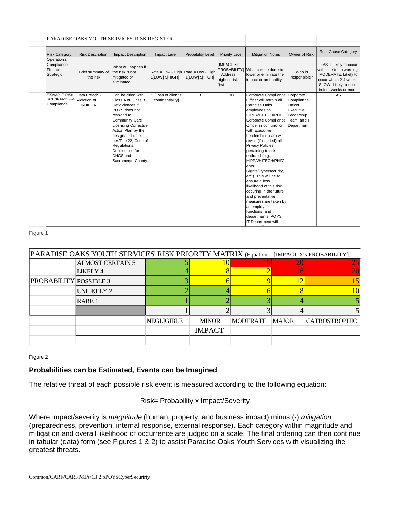|                                                     |                                            | PARADISE OAKS YOUTH SERVICES' RISK REGISTER                                                                                                                                                                                                                                             |                                                         |                   |                                                           |                                                                                                                                                                                                                                                                                                                                                                                                                                                                                                                                                                                         |                                                                                              |                                                                                                                                                          |
|-----------------------------------------------------|--------------------------------------------|-----------------------------------------------------------------------------------------------------------------------------------------------------------------------------------------------------------------------------------------------------------------------------------------|---------------------------------------------------------|-------------------|-----------------------------------------------------------|-----------------------------------------------------------------------------------------------------------------------------------------------------------------------------------------------------------------------------------------------------------------------------------------------------------------------------------------------------------------------------------------------------------------------------------------------------------------------------------------------------------------------------------------------------------------------------------------|----------------------------------------------------------------------------------------------|----------------------------------------------------------------------------------------------------------------------------------------------------------|
| <b>Risk Category</b>                                | <b>Risk Description</b>                    | <b>Impact Description</b>                                                                                                                                                                                                                                                               | Impact Level                                            | Probability Level | <b>Priority Level</b>                                     | <b>Mitigation Notes</b>                                                                                                                                                                                                                                                                                                                                                                                                                                                                                                                                                                 | Owner of Risk                                                                                | Root Cause Category                                                                                                                                      |
| Operational<br>Compliance<br>Financial<br>Strategic | Brief summary of<br>the risk               | What will happen if<br>the risk is not<br>mitigated or<br>eliminated                                                                                                                                                                                                                    | Rate = Low - High   Rate = Low - High<br>1[LOW] 5[HIGH] | 1[LOW] 5[HIGH]    | <b>IMPACT X's</b><br>$=$ Address<br>highest risk<br>first | PROBABILITYI What can be done to<br>lower or elminiate the<br>impact or probability                                                                                                                                                                                                                                                                                                                                                                                                                                                                                                     | Who is<br>responsible?                                                                       | FAST: Likely to occur<br>with little to no warning.<br>MODERATE: Likely to<br>occur within 2-4 weeks.<br>SLOW: Likely to occur<br>in four weeks or more. |
| <b>EXAMPLE RISK</b><br>SCENRARIO---><br>Compliance  | Data Breach -<br>Violation of<br>PHI/HIPPA | Can be citied with<br>Class A or Class B<br>Deficiciences if<br>POYS does not<br>respond to<br>Community Care<br><b>Licensing Corrective</b><br>Action Plan by the<br>designated date --<br>per Title 22, Code of<br>Regulations.<br>Deficiencies for<br>DHCS and<br>Sacramento County. | 5 [Loss of client's<br>confidentiality]                 | 3                 | 10                                                        | Corporate Compliance<br>Officer will retrain all<br>Paradise Oaks<br>employees on<br>НІРРА/НІТЕСН/РНІ.<br>Corporate Compliance<br>Officer in conjunction<br>with Executive<br>Leadership Team will<br>revise (if needed) all<br><b>Privacy Policies</b><br>pertaining to risk<br>endured (e.g.,<br>HIPPA/HITECH/PHI/Cli<br>lents'<br>Rights/Cybersecurity,<br>etc.). This will be to<br>ensure a less<br>likelihood of this risk<br>occuring in the future<br>and preventative<br>measures are taken by<br>all employees,<br>functions, and<br>departments. POYS'<br>IT Department will | Corporate<br>Compliance<br>Officer,<br>Executive<br>Leadership<br>Team, and IT<br>Department | <b>FAST</b>                                                                                                                                              |

#### Figure 1

| PARADISE OAKS YOUTH SERVICES' RISK PRIORITY MATRIX (Equation = [IMPACT X's PROBABILITY]) |                         |                   |               |                 |              |                      |
|------------------------------------------------------------------------------------------|-------------------------|-------------------|---------------|-----------------|--------------|----------------------|
|                                                                                          | <b>ALMOST CERTAIN 5</b> |                   |               | 5               |              | 25.                  |
|                                                                                          | LIKELY 4                |                   |               |                 |              |                      |
| <b>PROBABILITY POSSIBLE 3</b>                                                            |                         |                   |               |                 |              |                      |
|                                                                                          | UNLIKELY 2              |                   |               |                 |              |                      |
|                                                                                          | RARE 1                  |                   |               |                 |              |                      |
|                                                                                          |                         |                   |               |                 |              |                      |
|                                                                                          |                         | <b>NEGLIGIBLE</b> | <b>MINOR</b>  | <b>MODERATE</b> | <b>MAJOR</b> | <b>CATROSTROPHIC</b> |
|                                                                                          |                         |                   | <b>IMPACT</b> |                 |              |                      |
|                                                                                          |                         |                   |               |                 |              |                      |

ensure all cyber

Figure 2

### **Probabilities can be Estimated, Events can be Imagined**

The relative threat of each possible risk event is measured according to the following equation:

### Risk= Probability x Impact/Severity

Where impact/severity is *magnitude* (human, property, and business impact) minus (-) *mitigation*  (preparedness, prevention, internal response, external response). Each category within magnitude and mitigation and overall likelihood of occurrence are judged on a scale. The final ordering can then continue in tabular (data) form (see Figures 1 & 2) to assist Paradise Oaks Youth Services with visualizing the greatest threats.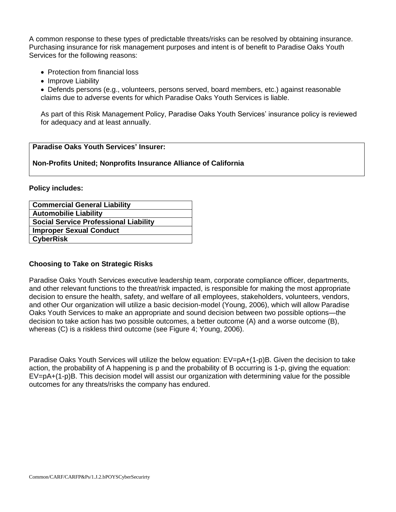A common response to these types of predictable threats/risks can be resolved by obtaining insurance. Purchasing insurance for risk management purposes and intent is of benefit to Paradise Oaks Youth Services for the following reasons:

- Protection from financial loss
- Improve Liability

 Defends persons (e.g., volunteers, persons served, board members, etc.) against reasonable claims due to adverse events for which Paradise Oaks Youth Services is liable.

As part of this Risk Management Policy, Paradise Oaks Youth Services' insurance policy is reviewed for adequacy and at least annually.

# **Paradise Oaks Youth Services' Insurer:**

### **Non-Profits United; Nonprofits Insurance Alliance of California**

**Policy includes:**

| <b>Commercial General Liability</b>          |
|----------------------------------------------|
| <b>Automobilie Liability</b>                 |
| <b>Social Service Professional Liability</b> |
| <b>Improper Sexual Conduct</b>               |
| <b>CyberRisk</b>                             |
|                                              |

# **Choosing to Take on Strategic Risks**

Paradise Oaks Youth Services executive leadership team, corporate compliance officer, departments, and other relevant functions to the threat/risk impacted, is responsible for making the most appropriate decision to ensure the health, safety, and welfare of all employees, stakeholders, volunteers, vendors, and other Our organization will utilize a basic decision-model (Young, 2006), which will allow Paradise Oaks Youth Services to make an appropriate and sound decision between two possible options—the decision to take action has two possible outcomes, a better outcome (A) and a worse outcome (B), whereas (C) is a riskless third outcome (see Figure 4; Young, 2006).

Paradise Oaks Youth Services will utilize the below equation: EV=pA+(1-p)B. Given the decision to take action, the probability of A happening is p and the probability of B occurring is 1-p, giving the equation: EV=pA+(1-p)B. This decision model will assist our organization with determining value for the possible outcomes for any threats/risks the company has endured.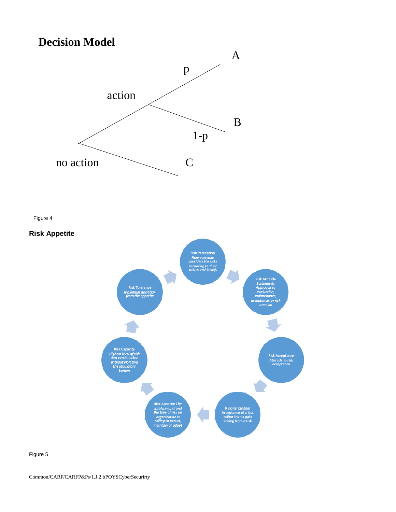

Figure 4

**Risk Appetite** 



Figure 5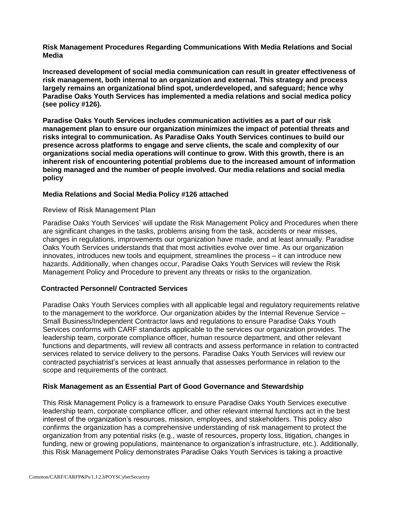**Risk Management Procedures Regarding Communications With Media Relations and Social Media**

**Increased development of social media communication can result in greater effectiveness of risk management, both internal to an organization and external. This strategy and process largely remains an organizational blind spot, underdeveloped, and safeguard; hence why Paradise Oaks Youth Services has implemented a media relations and social medica policy (see policy #126).** 

**Paradise Oaks Youth Services includes communication activities as a part of our risk management plan to ensure our organization minimizes the impact of potential threats and risks integral to communication. As Paradise Oaks Youth Services continues to build our presence across platforms to engage and serve clients, the scale and complexity of our organizations social media operations will continue to grow. With this growth, there is an inherent risk of encountering potential problems due to the increased amount of information being managed and the number of people involved. Our media relations and social media policy** 

# **Media Relations and Social Media Policy #126 attached**

### **Review of Risk Management Plan**

Paradise Oaks Youth Services' will update the Risk Management Policy and Procedures when there are significant changes in the tasks, problems arising from the task, accidents or near misses, changes in regulations, improvements our organization have made, and at least annually. Paradise Oaks Youth Services understands that that most activities evolve over time. As our organization innovates, introduces new tools and equipment, streamlines the process – it can introduce new hazards. Additionally, when changes occur, Paradise Oaks Youth Services will review the Risk Management Policy and Procedure to prevent any threats or risks to the organization.

# **Contracted Personnel/ Contracted Services**

Paradise Oaks Youth Services complies with all applicable legal and regulatory requirements relative to the management to the workforce. Our organization abides by the Internal Revenue Service – Small Business/Independent Contractor laws and regulations to ensure Paradise Oaks Youth Services conforms with CARF standards applicable to the services our organization provides. The leadership team, corporate compliance officer, human resource department, and other relevant functions and departments, will review all contracts and assess performance in relation to contracted services related to service delivery to the persons. Paradise Oaks Youth Services will review our contracted psychiatrist's services at least annually that assesses performance in relation to the scope and requirements of the contract.

# **Risk Management as an Essential Part of Good Governance and Stewardship**

This Risk Management Policy is a framework to ensure Paradise Oaks Youth Services executive leadership team, corporate compliance officer, and other relevant internal functions act in the best interest of the organization's resources, mission, employees, and stakeholders. This policy also confirms the organization has a comprehensive understanding of risk management to protect the organization from any potential risks (e.g., waste of resources, property loss, litigation, changes in funding, new or growing populations, maintenance to organization's infrastructure, etc.). Additionally, this Risk Management Policy demonstrates Paradise Oaks Youth Services is taking a proactive